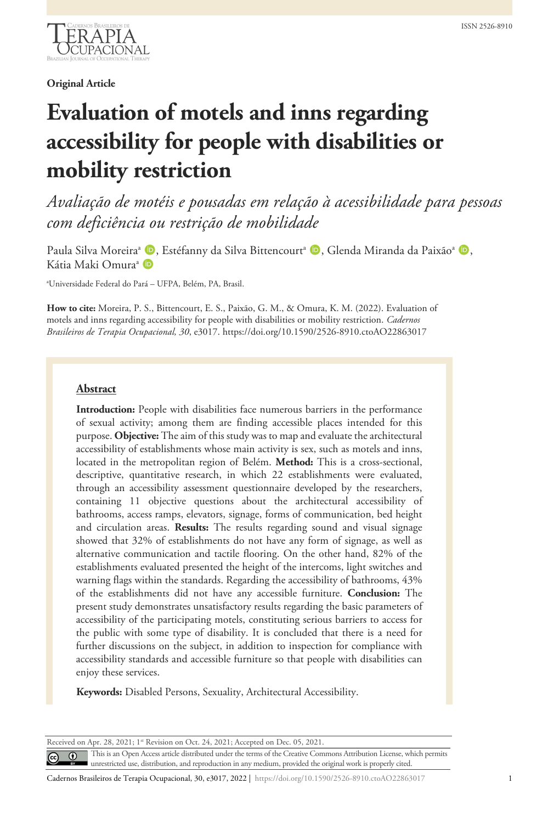

## **Original Article**

# **Evaluation of motels and inns regarding accessibility for people with disabilities or mobility restriction**

*Avaliação de motéis e pousadas em relação à acessibilidade para pessoas com deficiência ou restrição de mobilidade*

Paula Silva Moreira<sup>a</sup> (**D**, Estéfanny da Silva Bittencourt<sup>a</sup> (**D**, Glenda Miranda da Paixão<sup>a</sup> (**D**, Kátia Maki Omura<sup>a</sup> D

a Universidade Federal do Pará – UFPA, Belém, PA, Brasil.

**How to cite:** Moreira, P. S., Bittencourt, E. S., Paixão, G. M., & Omura, K. M. (2022). Evaluation of motels and inns regarding accessibility for people with disabilities or mobility restriction. *Cadernos Brasileiros de Terapia Ocupacional, 30*, e3017. https://doi.org/10.1590/2526-8910.ctoAO22863017

## **Abstract**

**Introduction:** People with disabilities face numerous barriers in the performance of sexual activity; among them are finding accessible places intended for this purpose. **Objective:** The aim of this study was to map and evaluate the architectural accessibility of establishments whose main activity is sex, such as motels and inns, located in the metropolitan region of Belém. **Method:** This is a cross-sectional, descriptive, quantitative research, in which 22 establishments were evaluated, through an accessibility assessment questionnaire developed by the researchers, containing 11 objective questions about the architectural accessibility of bathrooms, access ramps, elevators, signage, forms of communication, bed height and circulation areas. **Results:** The results regarding sound and visual signage showed that 32% of establishments do not have any form of signage, as well as alternative communication and tactile flooring. On the other hand, 82% of the establishments evaluated presented the height of the intercoms, light switches and warning flags within the standards. Regarding the accessibility of bathrooms, 43% of the establishments did not have any accessible furniture. **Conclusion:** The present study demonstrates unsatisfactory results regarding the basic parameters of accessibility of the participating motels, constituting serious barriers to access for the public with some type of disability. It is concluded that there is a need for further discussions on the subject, in addition to inspection for compliance with accessibility standards and accessible furniture so that people with disabilities can enjoy these services.

**Keywords:** Disabled Persons, Sexuality, Architectural Accessibility.

Received on Apr. 28, 2021; 1st Revision on Oct. 24, 2021; Accepted on Dec. 05, 2021.

This is an Open Access article distributed under the terms of the Creative Commons Attribution License, which permits  $\odot$ unrestricted use, distribution, and reproduction in any medium, provided the original work is properly cited.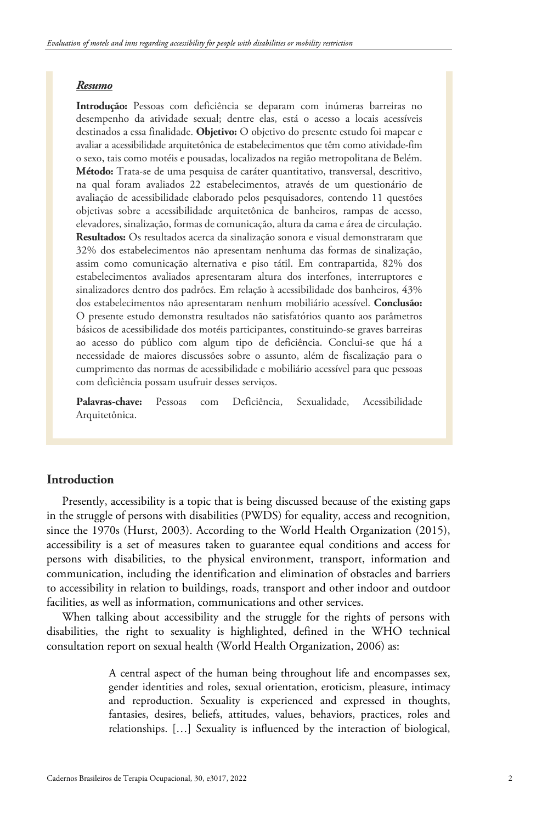#### *Resumo*

**Introdução:** Pessoas com deficiência se deparam com inúmeras barreiras no desempenho da atividade sexual; dentre elas, está o acesso a locais acessíveis destinados a essa finalidade. **Objetivo:** O objetivo do presente estudo foi mapear e avaliar a acessibilidade arquitetônica de estabelecimentos que têm como atividade-fim o sexo, tais como motéis e pousadas, localizados na região metropolitana de Belém. **Método:** Trata-se de uma pesquisa de caráter quantitativo, transversal, descritivo, na qual foram avaliados 22 estabelecimentos, através de um questionário de avaliação de acessibilidade elaborado pelos pesquisadores, contendo 11 questões objetivas sobre a acessibilidade arquitetônica de banheiros, rampas de acesso, elevadores, sinalização, formas de comunicação, altura da cama e área de circulação. **Resultados:** Os resultados acerca da sinalização sonora e visual demonstraram que 32% dos estabelecimentos não apresentam nenhuma das formas de sinalização, assim como comunicação alternativa e piso tátil. Em contrapartida, 82% dos estabelecimentos avaliados apresentaram altura dos interfones, interruptores e sinalizadores dentro dos padrões. Em relação à acessibilidade dos banheiros, 43% dos estabelecimentos não apresentaram nenhum mobiliário acessível. **Conclusão:** O presente estudo demonstra resultados não satisfatórios quanto aos parâmetros básicos de acessibilidade dos motéis participantes, constituindo-se graves barreiras ao acesso do público com algum tipo de deficiência. Conclui-se que há a necessidade de maiores discussões sobre o assunto, além de fiscalização para o cumprimento das normas de acessibilidade e mobiliário acessível para que pessoas com deficiência possam usufruir desses serviços.

**Palavras-chave:** Pessoas com Deficiência, Sexualidade, Acessibilidade Arquitetônica.

## **Introduction**

Presently, accessibility is a topic that is being discussed because of the existing gaps in the struggle of persons with disabilities (PWDS) for equality, access and recognition, since the 1970s (Hurst, 2003). According to the World Health Organization (2015), accessibility is a set of measures taken to guarantee equal conditions and access for persons with disabilities, to the physical environment, transport, information and communication, including the identification and elimination of obstacles and barriers to accessibility in relation to buildings, roads, transport and other indoor and outdoor facilities, as well as information, communications and other services.

When talking about accessibility and the struggle for the rights of persons with disabilities, the right to sexuality is highlighted, defined in the WHO technical consultation report on sexual health (World Health Organization, 2006) as:

> A central aspect of the human being throughout life and encompasses sex, gender identities and roles, sexual orientation, eroticism, pleasure, intimacy and reproduction. Sexuality is experienced and expressed in thoughts, fantasies, desires, beliefs, attitudes, values, behaviors, practices, roles and relationships. […] Sexuality is influenced by the interaction of biological,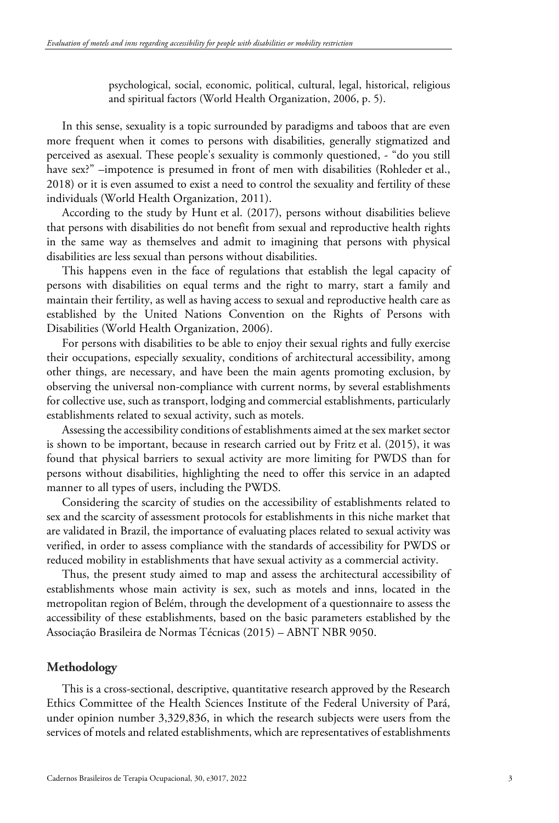psychological, social, economic, political, cultural, legal, historical, religious and spiritual factors (World Health Organization, 2006, p. 5).

In this sense, sexuality is a topic surrounded by paradigms and taboos that are even more frequent when it comes to persons with disabilities, generally stigmatized and perceived as asexual. These people's sexuality is commonly questioned, - "do you still have sex?" –impotence is presumed in front of men with disabilities (Rohleder et al., 2018) or it is even assumed to exist a need to control the sexuality and fertility of these individuals (World Health Organization, 2011).

According to the study by Hunt et al. (2017), persons without disabilities believe that persons with disabilities do not benefit from sexual and reproductive health rights in the same way as themselves and admit to imagining that persons with physical disabilities are less sexual than persons without disabilities.

This happens even in the face of regulations that establish the legal capacity of persons with disabilities on equal terms and the right to marry, start a family and maintain their fertility, as well as having access to sexual and reproductive health care as established by the United Nations Convention on the Rights of Persons with Disabilities (World Health Organization, 2006).

For persons with disabilities to be able to enjoy their sexual rights and fully exercise their occupations, especially sexuality, conditions of architectural accessibility, among other things, are necessary, and have been the main agents promoting exclusion, by observing the universal non-compliance with current norms, by several establishments for collective use, such as transport, lodging and commercial establishments, particularly establishments related to sexual activity, such as motels.

Assessing the accessibility conditions of establishments aimed at the sex market sector is shown to be important, because in research carried out by Fritz et al. (2015), it was found that physical barriers to sexual activity are more limiting for PWDS than for persons without disabilities, highlighting the need to offer this service in an adapted manner to all types of users, including the PWDS.

Considering the scarcity of studies on the accessibility of establishments related to sex and the scarcity of assessment protocols for establishments in this niche market that are validated in Brazil, the importance of evaluating places related to sexual activity was verified, in order to assess compliance with the standards of accessibility for PWDS or reduced mobility in establishments that have sexual activity as a commercial activity.

Thus, the present study aimed to map and assess the architectural accessibility of establishments whose main activity is sex, such as motels and inns, located in the metropolitan region of Belém, through the development of a questionnaire to assess the accessibility of these establishments, based on the basic parameters established by the Associação Brasileira de Normas Técnicas (2015) – ABNT NBR 9050.

## **Methodology**

This is a cross-sectional, descriptive, quantitative research approved by the Research Ethics Committee of the Health Sciences Institute of the Federal University of Pará, under opinion number 3,329,836, in which the research subjects were users from the services of motels and related establishments, which are representatives of establishments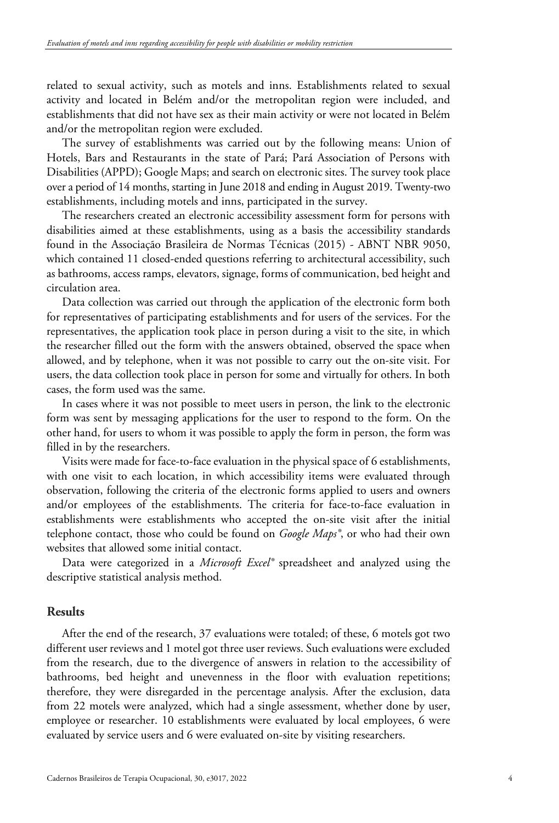related to sexual activity, such as motels and inns. Establishments related to sexual activity and located in Belém and/or the metropolitan region were included, and establishments that did not have sex as their main activity or were not located in Belém and/or the metropolitan region were excluded.

The survey of establishments was carried out by the following means: Union of Hotels, Bars and Restaurants in the state of Pará; Pará Association of Persons with Disabilities (APPD); Google Maps; and search on electronic sites. The survey took place over a period of 14 months, starting in June 2018 and ending in August 2019. Twenty-two establishments, including motels and inns, participated in the survey.

The researchers created an electronic accessibility assessment form for persons with disabilities aimed at these establishments, using as a basis the accessibility standards found in the Associação Brasileira de Normas Técnicas (2015) - ABNT NBR 9050, which contained 11 closed-ended questions referring to architectural accessibility, such as bathrooms, access ramps, elevators, signage, forms of communication, bed height and circulation area.

Data collection was carried out through the application of the electronic form both for representatives of participating establishments and for users of the services. For the representatives, the application took place in person during a visit to the site, in which the researcher filled out the form with the answers obtained, observed the space when allowed, and by telephone, when it was not possible to carry out the on-site visit. For users, the data collection took place in person for some and virtually for others. In both cases, the form used was the same.

In cases where it was not possible to meet users in person, the link to the electronic form was sent by messaging applications for the user to respond to the form. On the other hand, for users to whom it was possible to apply the form in person, the form was filled in by the researchers.

Visits were made for face-to-face evaluation in the physical space of 6 establishments, with one visit to each location, in which accessibility items were evaluated through observation, following the criteria of the electronic forms applied to users and owners and/or employees of the establishments. The criteria for face-to-face evaluation in establishments were establishments who accepted the on-site visit after the initial telephone contact, those who could be found on *Google Maps®*, or who had their own websites that allowed some initial contact.

Data were categorized in a *Microsoft Excel®* spreadsheet and analyzed using the descriptive statistical analysis method.

## **Results**

After the end of the research, 37 evaluations were totaled; of these, 6 motels got two different user reviews and 1 motel got three user reviews. Such evaluations were excluded from the research, due to the divergence of answers in relation to the accessibility of bathrooms, bed height and unevenness in the floor with evaluation repetitions; therefore, they were disregarded in the percentage analysis. After the exclusion, data from 22 motels were analyzed, which had a single assessment, whether done by user, employee or researcher. 10 establishments were evaluated by local employees, 6 were evaluated by service users and 6 were evaluated on-site by visiting researchers.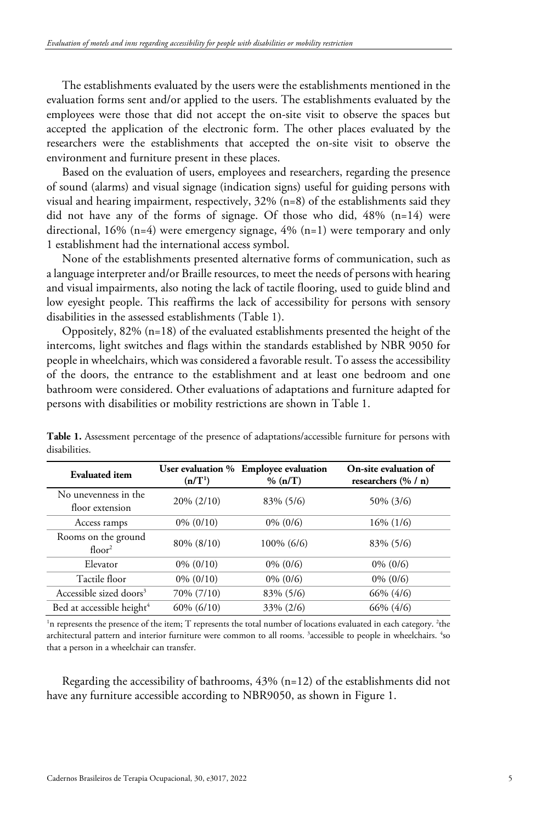The establishments evaluated by the users were the establishments mentioned in the evaluation forms sent and/or applied to the users. The establishments evaluated by the employees were those that did not accept the on-site visit to observe the spaces but accepted the application of the electronic form. The other places evaluated by the researchers were the establishments that accepted the on-site visit to observe the environment and furniture present in these places.

Based on the evaluation of users, employees and researchers, regarding the presence of sound (alarms) and visual signage (indication signs) useful for guiding persons with visual and hearing impairment, respectively, 32% (n=8) of the establishments said they did not have any of the forms of signage. Of those who did, 48% (n=14) were directional, 16% (n=4) were emergency signage, 4% (n=1) were temporary and only 1 establishment had the international access symbol.

None of the establishments presented alternative forms of communication, such as a language interpreter and/or Braille resources, to meet the needs of persons with hearing and visual impairments, also noting the lack of tactile flooring, used to guide blind and low eyesight people. This reaffirms the lack of accessibility for persons with sensory disabilities in the assessed establishments (Table 1).

Oppositely,  $82\%$  (n=18) of the evaluated establishments presented the height of the intercoms, light switches and flags within the standards established by NBR 9050 for people in wheelchairs, which was considered a favorable result. To assess the accessibility of the doors, the entrance to the establishment and at least one bedroom and one bathroom were considered. Other evaluations of adaptations and furniture adapted for persons with disabilities or mobility restrictions are shown in Table 1.

| <b>Evaluated</b> item                     | (n/T <sup>1</sup> ) | User evaluation % Employee evaluation<br>% (n/T) | On-site evaluation of<br>researchers $(\% / n)$ |
|-------------------------------------------|---------------------|--------------------------------------------------|-------------------------------------------------|
| No unevenness in the<br>floor extension   | $20\% (2/10)$       | 83% (5/6)                                        | 50% (3/6)                                       |
| Access ramps                              | $0\% (0/10)$        | $0\% (0/6)$                                      | $16\%$ (1/6)                                    |
| Rooms on the ground<br>floor <sup>2</sup> | 80% (8/10)          | $100\%$ (6/6)                                    | 83% (5/6)                                       |
| Elevator                                  | $0\% (0/10)$        | $0\% (0/6)$                                      | $0\%$ (0/6)                                     |
| Tactile floor                             | $0\% (0/10)$        | $0\% (0/6)$                                      | $0\% (0/6)$                                     |
| Accessible sized doors <sup>3</sup>       | 70% (7/10)          | 83% (5/6)                                        | 66% (4/6)                                       |
| Bed at accessible height <sup>4</sup>     | $60\%$ $(6/10)$     | 33% (2/6)                                        | 66% (4/6)                                       |

**Table 1.** Assessment percentage of the presence of adaptations/accessible furniture for persons with disabilities.

<sup>1</sup>n represents the presence of the item; T represents the total number of locations evaluated in each category. <sup>2</sup>the architectural pattern and interior furniture were common to all rooms. <sup>3</sup>accessible to people in wheelchairs. <sup>4</sup>so that a person in a wheelchair can transfer.

Regarding the accessibility of bathrooms,  $43\%$  (n=12) of the establishments did not have any furniture accessible according to NBR9050, as shown in Figure 1.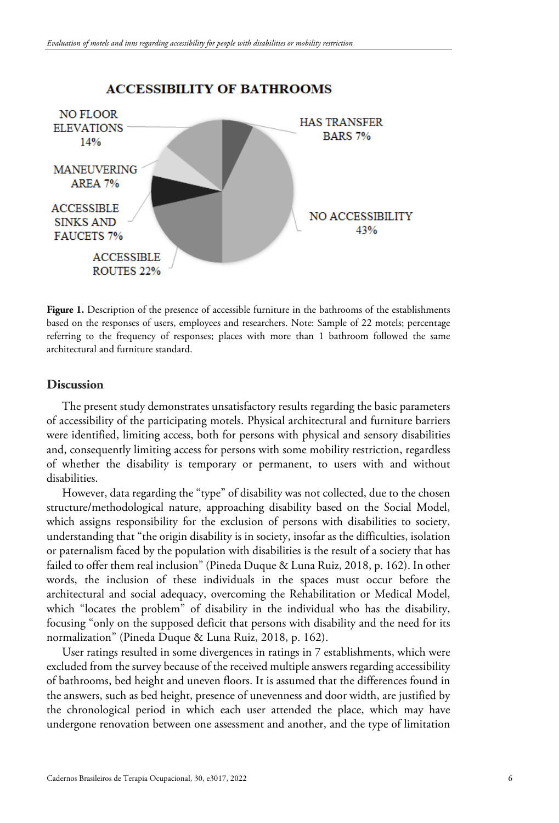

## **ACCESSIBILITY OF BATHROOMS**

**Figure 1.** Description of the presence of accessible furniture in the bathrooms of the establishments based on the responses of users, employees and researchers. Note: Sample of 22 motels; percentage referring to the frequency of responses; places with more than 1 bathroom followed the same architectural and furniture standard.

## **Discussion**

The present study demonstrates unsatisfactory results regarding the basic parameters of accessibility of the participating motels. Physical architectural and furniture barriers were identified, limiting access, both for persons with physical and sensory disabilities and, consequently limiting access for persons with some mobility restriction, regardless of whether the disability is temporary or permanent, to users with and without disabilities.

However, data regarding the "type" of disability was not collected, due to the chosen structure/methodological nature, approaching disability based on the Social Model, which assigns responsibility for the exclusion of persons with disabilities to society, understanding that "the origin disability is in society, insofar as the difficulties, isolation or paternalism faced by the population with disabilities is the result of a society that has failed to offer them real inclusion" (Pineda Duque & Luna Ruiz, 2018, p. 162). In other words, the inclusion of these individuals in the spaces must occur before the architectural and social adequacy, overcoming the Rehabilitation or Medical Model, which "locates the problem" of disability in the individual who has the disability, focusing "only on the supposed deficit that persons with disability and the need for its normalization" (Pineda Duque & Luna Ruiz, 2018, p. 162).

User ratings resulted in some divergences in ratings in 7 establishments, which were excluded from the survey because of the received multiple answers regarding accessibility of bathrooms, bed height and uneven floors. It is assumed that the differences found in the answers, such as bed height, presence of unevenness and door width, are justified by the chronological period in which each user attended the place, which may have undergone renovation between one assessment and another, and the type of limitation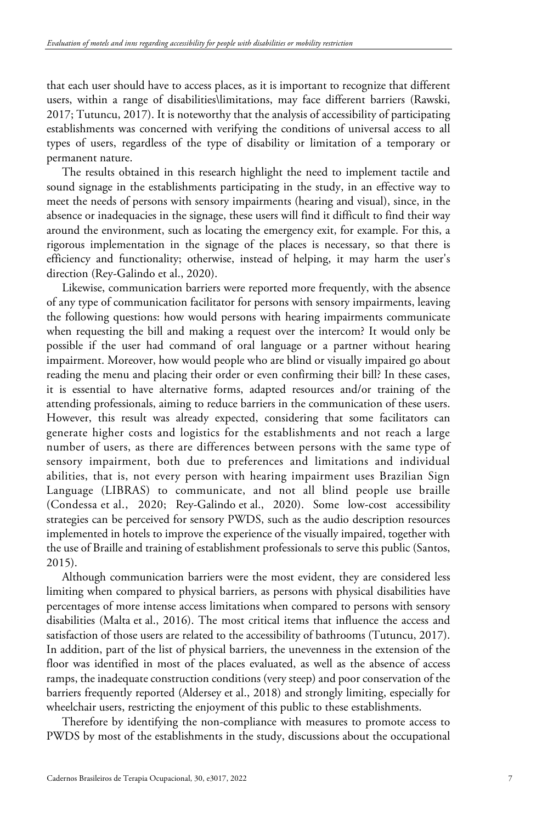that each user should have to access places, as it is important to recognize that different users, within a range of disabilities\limitations, may face different barriers (Rawski, 2017; Tutuncu, 2017). It is noteworthy that the analysis of accessibility of participating establishments was concerned with verifying the conditions of universal access to all types of users, regardless of the type of disability or limitation of a temporary or permanent nature.

The results obtained in this research highlight the need to implement tactile and sound signage in the establishments participating in the study, in an effective way to meet the needs of persons with sensory impairments (hearing and visual), since, in the absence or inadequacies in the signage, these users will find it difficult to find their way around the environment, such as locating the emergency exit, for example. For this, a rigorous implementation in the signage of the places is necessary, so that there is efficiency and functionality; otherwise, instead of helping, it may harm the user's direction (Rey-Galindo et al., 2020).

Likewise, communication barriers were reported more frequently, with the absence of any type of communication facilitator for persons with sensory impairments, leaving the following questions: how would persons with hearing impairments communicate when requesting the bill and making a request over the intercom? It would only be possible if the user had command of oral language or a partner without hearing impairment. Moreover, how would people who are blind or visually impaired go about reading the menu and placing their order or even confirming their bill? In these cases, it is essential to have alternative forms, adapted resources and/or training of the attending professionals, aiming to reduce barriers in the communication of these users. However, this result was already expected, considering that some facilitators can generate higher costs and logistics for the establishments and not reach a large number of users, as there are differences between persons with the same type of sensory impairment, both due to preferences and limitations and individual abilities, that is, not every person with hearing impairment uses Brazilian Sign Language (LIBRAS) to communicate, and not all blind people use braille (Condessa et al., 2020; Rey-Galindo et al., 2020). Some low-cost accessibility strategies can be perceived for sensory PWDS, such as the audio description resources implemented in hotels to improve the experience of the visually impaired, together with the use of Braille and training of establishment professionals to serve this public (Santos, 2015).

Although communication barriers were the most evident, they are considered less limiting when compared to physical barriers, as persons with physical disabilities have percentages of more intense access limitations when compared to persons with sensory disabilities (Malta et al., 2016). The most critical items that influence the access and satisfaction of those users are related to the accessibility of bathrooms (Tutuncu, 2017). In addition, part of the list of physical barriers, the unevenness in the extension of the floor was identified in most of the places evaluated, as well as the absence of access ramps, the inadequate construction conditions (very steep) and poor conservation of the barriers frequently reported (Aldersey et al., 2018) and strongly limiting, especially for wheelchair users, restricting the enjoyment of this public to these establishments.

Therefore by identifying the non-compliance with measures to promote access to PWDS by most of the establishments in the study, discussions about the occupational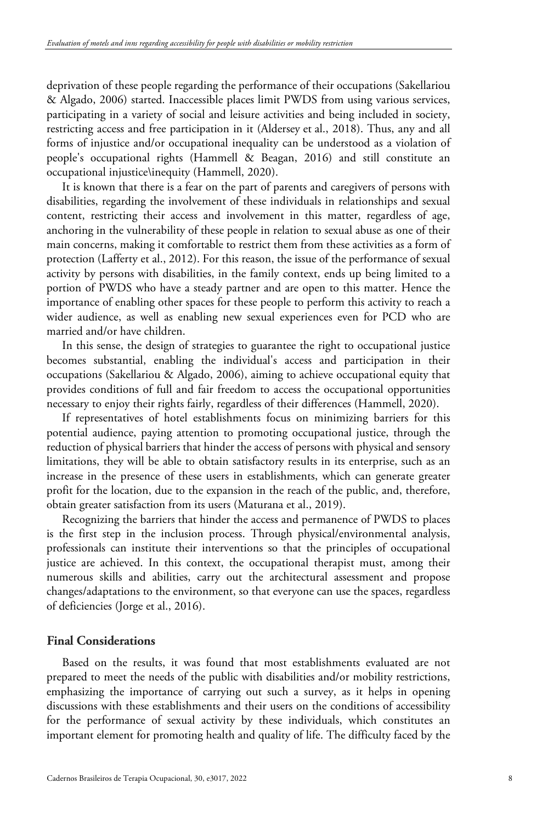deprivation of these people regarding the performance of their occupations (Sakellariou & Algado, 2006) started. Inaccessible places limit PWDS from using various services, participating in a variety of social and leisure activities and being included in society, restricting access and free participation in it (Aldersey et al., 2018). Thus, any and all forms of injustice and/or occupational inequality can be understood as a violation of people's occupational rights (Hammell & Beagan, 2016) and still constitute an occupational injustice\inequity (Hammell, 2020).

It is known that there is a fear on the part of parents and caregivers of persons with disabilities, regarding the involvement of these individuals in relationships and sexual content, restricting their access and involvement in this matter, regardless of age, anchoring in the vulnerability of these people in relation to sexual abuse as one of their main concerns, making it comfortable to restrict them from these activities as a form of protection (Lafferty et al., 2012). For this reason, the issue of the performance of sexual activity by persons with disabilities, in the family context, ends up being limited to a portion of PWDS who have a steady partner and are open to this matter. Hence the importance of enabling other spaces for these people to perform this activity to reach a wider audience, as well as enabling new sexual experiences even for PCD who are married and/or have children.

In this sense, the design of strategies to guarantee the right to occupational justice becomes substantial, enabling the individual's access and participation in their occupations (Sakellariou & Algado, 2006), aiming to achieve occupational equity that provides conditions of full and fair freedom to access the occupational opportunities necessary to enjoy their rights fairly, regardless of their differences (Hammell, 2020).

If representatives of hotel establishments focus on minimizing barriers for this potential audience, paying attention to promoting occupational justice, through the reduction of physical barriers that hinder the access of persons with physical and sensory limitations, they will be able to obtain satisfactory results in its enterprise, such as an increase in the presence of these users in establishments, which can generate greater profit for the location, due to the expansion in the reach of the public, and, therefore, obtain greater satisfaction from its users (Maturana et al., 2019).

Recognizing the barriers that hinder the access and permanence of PWDS to places is the first step in the inclusion process. Through physical/environmental analysis, professionals can institute their interventions so that the principles of occupational justice are achieved. In this context, the occupational therapist must, among their numerous skills and abilities, carry out the architectural assessment and propose changes/adaptations to the environment, so that everyone can use the spaces, regardless of deficiencies (Jorge et al., 2016).

## **Final Considerations**

Based on the results, it was found that most establishments evaluated are not prepared to meet the needs of the public with disabilities and/or mobility restrictions, emphasizing the importance of carrying out such a survey, as it helps in opening discussions with these establishments and their users on the conditions of accessibility for the performance of sexual activity by these individuals, which constitutes an important element for promoting health and quality of life. The difficulty faced by the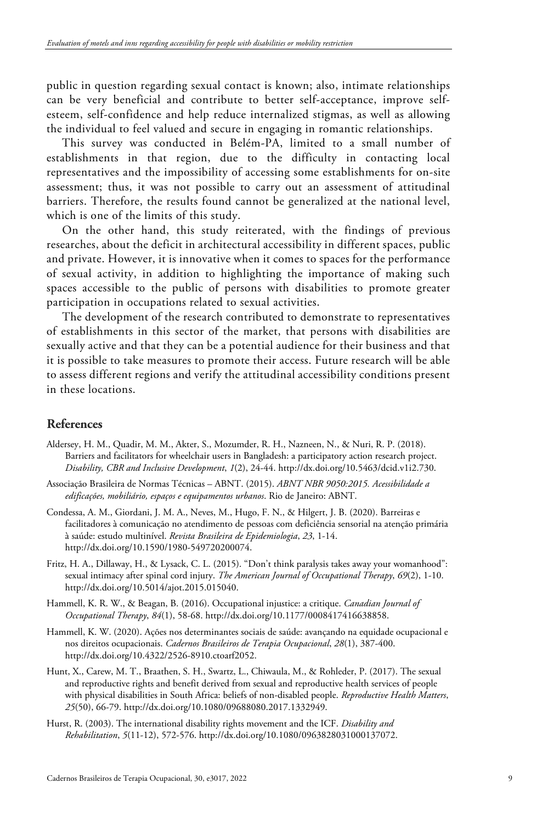public in question regarding sexual contact is known; also, intimate relationships can be very beneficial and contribute to better self-acceptance, improve selfesteem, self-confidence and help reduce internalized stigmas, as well as allowing the individual to feel valued and secure in engaging in romantic relationships.

This survey was conducted in Belém-PA, limited to a small number of establishments in that region, due to the difficulty in contacting local representatives and the impossibility of accessing some establishments for on-site assessment; thus, it was not possible to carry out an assessment of attitudinal barriers. Therefore, the results found cannot be generalized at the national level, which is one of the limits of this study.

On the other hand, this study reiterated, with the findings of previous researches, about the deficit in architectural accessibility in different spaces, public and private. However, it is innovative when it comes to spaces for the performance of sexual activity, in addition to highlighting the importance of making such spaces accessible to the public of persons with disabilities to promote greater participation in occupations related to sexual activities.

The development of the research contributed to demonstrate to representatives of establishments in this sector of the market, that persons with disabilities are sexually active and that they can be a potential audience for their business and that it is possible to take measures to promote their access. Future research will be able to assess different regions and verify the attitudinal accessibility conditions present in these locations.

## **References**

- Aldersey, H. M., Quadir, M. M., Akter, S., Mozumder, R. H., Nazneen, N., & Nuri, R. P. (2018). Barriers and facilitators for wheelchair users in Bangladesh: a participatory action research project. *Disability, CBR and Inclusive Development*, *1*(2), 24-44. http://dx.doi.org/10.5463/dcid.v1i2.730.
- Associação Brasileira de Normas Técnicas ABNT. (2015). *ABNT NBR 9050:2015. Acessibilidade a edificações, mobiliário, espaços e equipamentos urbanos*. Rio de Janeiro: ABNT.
- Condessa, A. M., Giordani, J. M. A., Neves, M., Hugo, F. N., & Hilgert, J. B. (2020). Barreiras e facilitadores à comunicação no atendimento de pessoas com deficiência sensorial na atenção primária à saúde: estudo multinível. *Revista Brasileira de Epidemiologia*, *23*, 1-14. http://dx.doi.org/10.1590/1980-549720200074.
- Fritz, H. A., Dillaway, H., & Lysack, C. L. (2015). "Don't think paralysis takes away your womanhood": sexual intimacy after spinal cord injury. *The American Journal of Occupational Therapy*, *69*(2), 1-10. http://dx.doi.org/10.5014/ajot.2015.015040.
- Hammell, K. R. W., & Beagan, B. (2016). Occupational injustice: a critique. *Canadian Journal of Occupational Therapy*, *84*(1), 58-68. http://dx.doi.org/10.1177/0008417416638858.
- Hammell, K. W. (2020). Ações nos determinantes sociais de saúde: avançando na equidade ocupacional e nos direitos ocupacionais. *Cadernos Brasileiros de Terapia Ocupacional*, *28*(1), 387-400. http://dx.doi.org/10.4322/2526-8910.ctoarf2052.
- Hunt, X., Carew, M. T., Braathen, S. H., Swartz, L., Chiwaula, M., & Rohleder, P. (2017). The sexual and reproductive rights and benefit derived from sexual and reproductive health services of people with physical disabilities in South Africa: beliefs of non-disabled people. *Reproductive Health Matters*, *25*(50), 66-79. http://dx.doi.org/10.1080/09688080.2017.1332949.
- Hurst, R. (2003). The international disability rights movement and the ICF. *Disability and Rehabilitation*, *5*(11-12), 572-576. http://dx.doi.org/10.1080/0963828031000137072.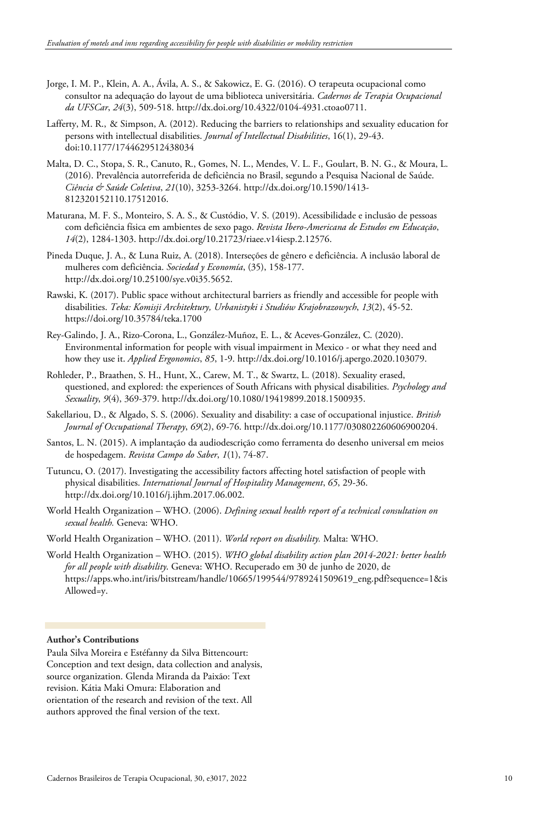- Jorge, I. M. P., Klein, A. A., Ávila, A. S., & Sakowicz, E. G. (2016). O terapeuta ocupacional como consultor na adequação do layout de uma biblioteca universitária. *Cadernos de Terapia Ocupacional da UFSCar*, *24*(3), 509-518. http://dx.doi.org/10.4322/0104-4931.ctoao0711.
- Lafferty, M. R., & Simpson, A. (2012). Reducing the barriers to relationships and sexuality education for persons with intellectual disabilities. *Journal of Intellectual Disabilities*, 16(1), 29-43. doi[:10.1177/1744629512438034](https://doi.org/10.1177/1744629512438034)
- Malta, D. C., Stopa, S. R., Canuto, R., Gomes, N. L., Mendes, V. L. F., Goulart, B. N. G., & Moura, L. (2016). Prevalência autorreferida de deficiência no Brasil, segundo a Pesquisa Nacional de Saúde. *Ciência & Saúde Coletiva*, *21*(10), 3253-3264. http://dx.doi.org/10.1590/1413- 812320152110.17512016.
- Maturana, M. F. S., Monteiro, S. A. S., & Custódio, V. S. (2019). Acessibilidade e inclusão de pessoas com deficiência física em ambientes de sexo pago. *Revista Ibero-Americana de Estudos em Educação*, *14*(2), 1284-1303. http://dx.doi.org/10.21723/riaee.v14iesp.2.12576.
- Pineda Duque, J. A., & Luna Ruiz, A. (2018). Interseções de gênero e deficiência. A inclusão laboral de mulheres com deficiência. *Sociedad y Economía*, (35), 158-177. http://dx.doi.org/10.25100/sye.v0i35.5652.
- Rawski, K. (2017). Public space without architectural barriers as friendly and accessible for people with disabilities. *Teka: Komisji Architektury, Urbanistyki i Studiów Krajobrazowych*, *13*(2), 45-52. https://doi.org/10.35784/teka.1700
- Rey-Galindo, J. A., Rizo-Corona, L., González-Muñoz, E. L., & Aceves-González, C. (2020). Environmental information for people with visual impairment in Mexico - or what they need and how they use it. *Applied Ergonomics*, *85*, 1-9. http://dx.doi.org/10.1016/j.apergo.2020.103079.
- Rohleder, P., Braathen, S. H., Hunt, X., Carew, M. T., & Swartz, L. (2018). Sexuality erased, questioned, and explored: the experiences of South Africans with physical disabilities. *Psychology and Sexuality*, *9*(4), 369-379. http://dx.doi.org/10.1080/19419899.2018.1500935.
- Sakellariou, D., & Algado, S. S. (2006). Sexuality and disability: a case of occupational injustice. *British Journal of Occupational Therapy*, *69*(2), 69-76. http://dx.doi.org/10.1177/030802260606900204.
- Santos, L. N. (2015). A implantação da audiodescrição como ferramenta do desenho universal em meios de hospedagem. *Revista Campo do Saber*, *1*(1), 74-87.
- Tutuncu, O. (2017). Investigating the accessibility factors affecting hotel satisfaction of people with physical disabilities. *International Journal of Hospitality Management*, *65*, 29-36. http://dx.doi.org/10.1016/j.ijhm.2017.06.002.
- World Health Organization WHO. (2006). *Defining sexual health report of a technical consultation on sexual health.* Geneva: WHO.
- World Health Organization WHO. (2011). *World report on disability.* Malta: WHO.
- World Health Organization WHO. (2015). *WHO global disability action plan 2014-2021: better health for all people with disability*. Geneva: WHO. Recuperado em 30 de junho de 2020, de https://apps.who.int/iris/bitstream/handle/10665/199544/9789241509619\_eng.pdf?sequence=1&is Allowed=y.

#### **Author's Contributions**

Paula Silva Moreira e Estéfanny da Silva Bittencourt: Conception and text design, data collection and analysis, source organization. Glenda Miranda da Paixão: Text revision. Kátia Maki Omura: Elaboration and orientation of the research and revision of the text. All authors approved the final version of the text.